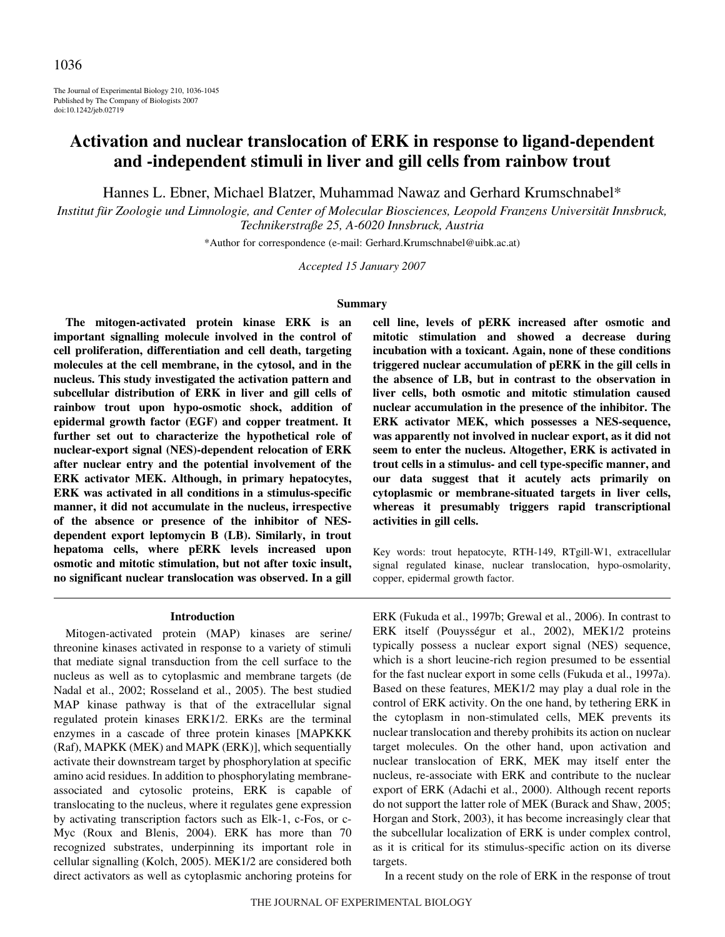The Journal of Experimental Biology 210, 1036-1045 Published by The Company of Biologists 2007 doi:10.1242/jeb.02719

# **Activation and nuclear translocation of ERK in response to ligand-dependent and -independent stimuli in liver and gill cells from rainbow trout**

Hannes L. Ebner, Michael Blatzer, Muhammad Nawaz and Gerhard Krumschnabel\*

*Institut für Zoologie und Limnologie, and Center of Molecular Biosciences, Leopold Franzens Universität Innsbruck, Technikerstraße 25, A-6020 Innsbruck, Austria*

\*Author for correspondence (e-mail: Gerhard.Krumschnabel@uibk.ac.at)

*Accepted 15 January 2007*

#### **Summary**

**The mitogen-activated protein kinase ERK is an important signalling molecule involved in the control of cell proliferation, differentiation and cell death, targeting molecules at the cell membrane, in the cytosol, and in the nucleus. This study investigated the activation pattern and subcellular distribution of ERK in liver and gill cells of rainbow trout upon hypo-osmotic shock, addition of epidermal growth factor (EGF) and copper treatment. It further set out to characterize the hypothetical role of nuclear-export signal (NES)-dependent relocation of ERK after nuclear entry and the potential involvement of the ERK activator MEK. Although, in primary hepatocytes, ERK was activated in all conditions in a stimulus-specific manner, it did not accumulate in the nucleus, irrespective of the absence or presence of the inhibitor of NESdependent export leptomycin B (LB). Similarly, in trout hepatoma cells, where pERK levels increased upon osmotic and mitotic stimulation, but not after toxic insult, no significant nuclear translocation was observed. In a gill**

#### **Introduction**

Mitogen-activated protein (MAP) kinases are serine/ threonine kinases activated in response to a variety of stimuli that mediate signal transduction from the cell surface to the nucleus as well as to cytoplasmic and membrane targets (de Nadal et al., 2002; Rosseland et al., 2005). The best studied MAP kinase pathway is that of the extracellular signal regulated protein kinases ERK1/2. ERKs are the terminal enzymes in a cascade of three protein kinases [MAPKKK (Raf), MAPKK (MEK) and MAPK (ERK)], which sequentially activate their downstream target by phosphorylation at specific amino acid residues. In addition to phosphorylating membraneassociated and cytosolic proteins, ERK is capable of translocating to the nucleus, where it regulates gene expression by activating transcription factors such as Elk-1, c-Fos, or c-Myc (Roux and Blenis, 2004). ERK has more than 70 recognized substrates, underpinning its important role in cellular signalling (Kolch, 2005). MEK1/2 are considered both direct activators as well as cytoplasmic anchoring proteins for **cell line, levels of pERK increased after osmotic and mitotic stimulation and showed a decrease during incubation with a toxicant. Again, none of these conditions triggered nuclear accumulation of pERK in the gill cells in the absence of LB, but in contrast to the observation in liver cells, both osmotic and mitotic stimulation caused nuclear accumulation in the presence of the inhibitor. The ERK activator MEK, which possesses a NES-sequence, was apparently not involved in nuclear export, as it did not seem to enter the nucleus. Altogether, ERK is activated in trout cells in a stimulus- and cell type-specific manner, and our data suggest that it acutely acts primarily on cytoplasmic or membrane-situated targets in liver cells, whereas it presumably triggers rapid transcriptional activities in gill cells.**

Key words: trout hepatocyte, RTH-149, RTgill-W1, extracellular signal regulated kinase, nuclear translocation, hypo-osmolarity, copper, epidermal growth factor.

ERK (Fukuda et al., 1997b; Grewal et al., 2006). In contrast to ERK itself (Pouysségur et al., 2002), MEK1/2 proteins typically possess a nuclear export signal (NES) sequence, which is a short leucine-rich region presumed to be essential for the fast nuclear export in some cells (Fukuda et al., 1997a). Based on these features, MEK1/2 may play a dual role in the control of ERK activity. On the one hand, by tethering ERK in the cytoplasm in non-stimulated cells, MEK prevents its nuclear translocation and thereby prohibits its action on nuclear target molecules. On the other hand, upon activation and nuclear translocation of ERK, MEK may itself enter the nucleus, re-associate with ERK and contribute to the nuclear export of ERK (Adachi et al., 2000). Although recent reports do not support the latter role of MEK (Burack and Shaw, 2005; Horgan and Stork, 2003), it has become increasingly clear that the subcellular localization of ERK is under complex control, as it is critical for its stimulus-specific action on its diverse targets.

In a recent study on the role of ERK in the response of trout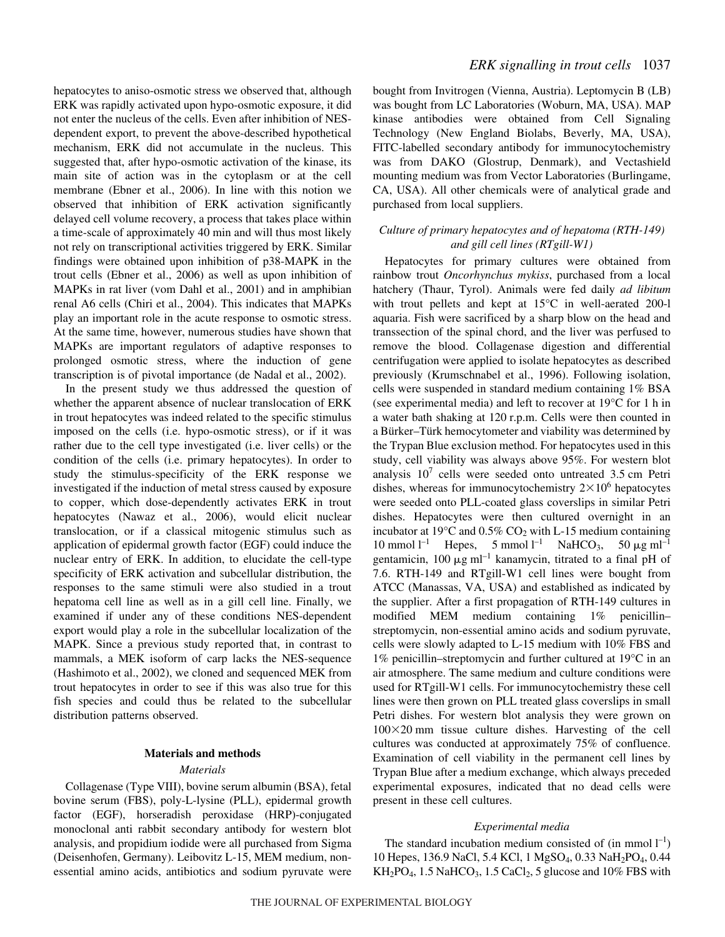hepatocytes to aniso-osmotic stress we observed that, although ERK was rapidly activated upon hypo-osmotic exposure, it did not enter the nucleus of the cells. Even after inhibition of NESdependent export, to prevent the above-described hypothetical mechanism, ERK did not accumulate in the nucleus. This suggested that, after hypo-osmotic activation of the kinase, its main site of action was in the cytoplasm or at the cell membrane (Ebner et al., 2006). In line with this notion we observed that inhibition of ERK activation significantly delayed cell volume recovery, a process that takes place within a time-scale of approximately 40 min and will thus most likely not rely on transcriptional activities triggered by ERK. Similar findings were obtained upon inhibition of p38-MAPK in the trout cells (Ebner et al., 2006) as well as upon inhibition of MAPKs in rat liver (vom Dahl et al., 2001) and in amphibian renal A6 cells (Chiri et al., 2004). This indicates that MAPKs play an important role in the acute response to osmotic stress. At the same time, however, numerous studies have shown that MAPKs are important regulators of adaptive responses to prolonged osmotic stress, where the induction of gene transcription is of pivotal importance (de Nadal et al., 2002).

In the present study we thus addressed the question of whether the apparent absence of nuclear translocation of ERK in trout hepatocytes was indeed related to the specific stimulus imposed on the cells (i.e. hypo-osmotic stress), or if it was rather due to the cell type investigated (i.e. liver cells) or the condition of the cells (i.e. primary hepatocytes). In order to study the stimulus-specificity of the ERK response we investigated if the induction of metal stress caused by exposure to copper, which dose-dependently activates ERK in trout hepatocytes (Nawaz et al., 2006), would elicit nuclear translocation, or if a classical mitogenic stimulus such as application of epidermal growth factor (EGF) could induce the nuclear entry of ERK. In addition, to elucidate the cell-type specificity of ERK activation and subcellular distribution, the responses to the same stimuli were also studied in a trout hepatoma cell line as well as in a gill cell line. Finally, we examined if under any of these conditions NES-dependent export would play a role in the subcellular localization of the MAPK. Since a previous study reported that, in contrast to mammals, a MEK isoform of carp lacks the NES-sequence (Hashimoto et al., 2002), we cloned and sequenced MEK from trout hepatocytes in order to see if this was also true for this fish species and could thus be related to the subcellular distribution patterns observed.

## **Materials and methods**

#### *Materials*

Collagenase (Type VIII), bovine serum albumin (BSA), fetal bovine serum (FBS), poly-L-lysine (PLL), epidermal growth factor (EGF), horseradish peroxidase (HRP)-conjugated monoclonal anti rabbit secondary antibody for western blot analysis, and propidium iodide were all purchased from Sigma (Deisenhofen, Germany). Leibovitz L-15, MEM medium, nonessential amino acids, antibiotics and sodium pyruvate were bought from Invitrogen (Vienna, Austria). Leptomycin B (LB) was bought from LC Laboratories (Woburn, MA, USA). MAP kinase antibodies were obtained from Cell Signaling Technology (New England Biolabs, Beverly, MA, USA), FITC-labelled secondary antibody for immunocytochemistry was from DAKO (Glostrup, Denmark), and Vectashield mounting medium was from Vector Laboratories (Burlingame, CA, USA). All other chemicals were of analytical grade and purchased from local suppliers.

## *Culture of primary hepatocytes and of hepatoma (RTH-149) and gill cell lines (RTgill-W1)*

Hepatocytes for primary cultures were obtained from rainbow trout *Oncorhynchus mykiss*, purchased from a local hatchery (Thaur, Tyrol). Animals were fed daily *ad libitum* with trout pellets and kept at 15°C in well-aerated 200-l aquaria. Fish were sacrificed by a sharp blow on the head and transsection of the spinal chord, and the liver was perfused to remove the blood. Collagenase digestion and differential centrifugation were applied to isolate hepatocytes as described previously (Krumschnabel et al., 1996). Following isolation, cells were suspended in standard medium containing 1% BSA (see experimental media) and left to recover at  $19^{\circ}$ C for 1 h in a water bath shaking at 120 r.p.m. Cells were then counted in a Bürker–Türk hemocytometer and viability was determined by the Trypan Blue exclusion method. For hepatocytes used in this study, cell viability was always above 95%. For western blot analysis  $10^7$  cells were seeded onto untreated 3.5 cm Petri dishes, whereas for immunocytochemistry  $2 \times 10^6$  hepatocytes were seeded onto PLL-coated glass coverslips in similar Petri dishes. Hepatocytes were then cultured overnight in an incubator at 19 $\mathrm{^{\circ}C}$  and 0.5% CO<sub>2</sub> with L-15 medium containing 10 mmol  $l^{-1}$  Hepes, 5 mmol  $l^{-1}$  NaHCO<sub>3</sub>, 50  $\mu$ g ml<sup>-1</sup> gentamicin, 100  $\mu$ g ml<sup>-1</sup> kanamycin, titrated to a final pH of 7.6. RTH-149 and RTgill-W1 cell lines were bought from ATCC (Manassas, VA, USA) and established as indicated by the supplier. After a first propagation of RTH-149 cultures in modified MEM medium containing 1% penicillin– streptomycin, non-essential amino acids and sodium pyruvate, cells were slowly adapted to L-15 medium with 10% FBS and 1% penicillin–streptomycin and further cultured at 19°C in an air atmosphere. The same medium and culture conditions were used for RTgill-W1 cells. For immunocytochemistry these cell lines were then grown on PLL treated glass coverslips in small Petri dishes. For western blot analysis they were grown on  $100\times20$  mm tissue culture dishes. Harvesting of the cell cultures was conducted at approximately 75% of confluence. Examination of cell viability in the permanent cell lines by Trypan Blue after a medium exchange, which always preceded experimental exposures, indicated that no dead cells were present in these cell cultures.

#### *Experimental media*

The standard incubation medium consisted of (in mmol  $l^{-1}$ ) 10 Hepes, 136.9 NaCl, 5.4 KCl, 1 MgSO4, 0.33 NaH2PO4, 0.44  $KH_2PO_4$ , 1.5 NaHCO<sub>3</sub>, 1.5 CaCl<sub>2</sub>, 5 glucose and 10% FBS with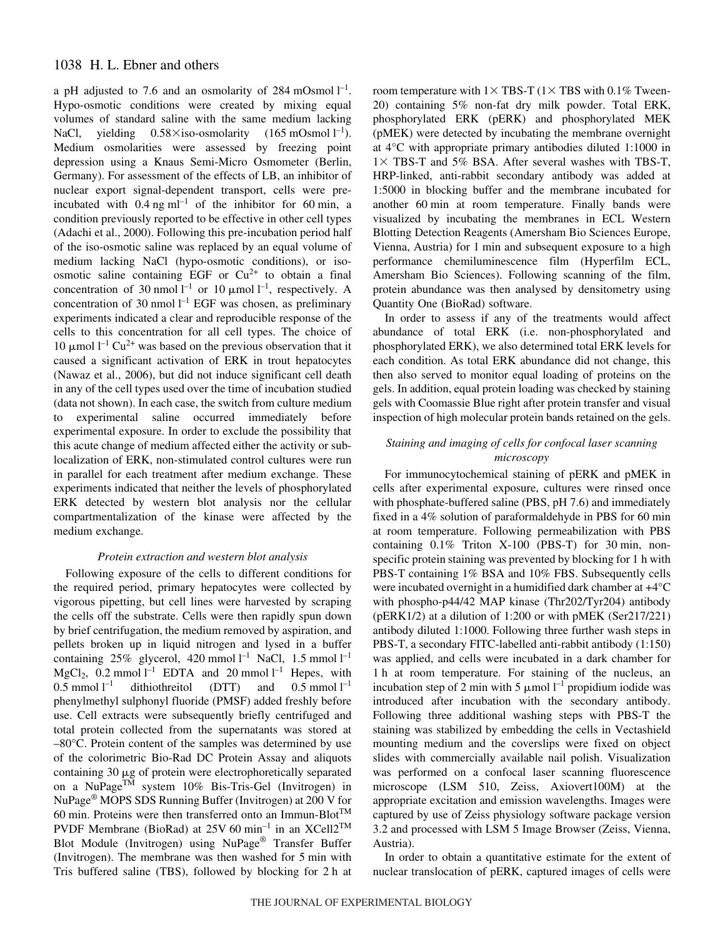a pH adjusted to 7.6 and an osmolarity of 284 mOsmol  $l^{-1}$ . Hypo-osmotic conditions were created by mixing equal volumes of standard saline with the same medium lacking NaCl, yielding  $0.58\times$ iso-osmolarity (165 mOsmol l<sup>-1</sup>). Medium osmolarities were assessed by freezing point depression using a Knaus Semi-Micro Osmometer (Berlin, Germany). For assessment of the effects of LB, an inhibitor of nuclear export signal-dependent transport, cells were preincubated with  $0.4 \text{ ng ml}^{-1}$  of the inhibitor for 60 min, a condition previously reported to be effective in other cell types (Adachi et al., 2000). Following this pre-incubation period half of the iso-osmotic saline was replaced by an equal volume of medium lacking NaCl (hypo-osmotic conditions), or isoosmotic saline containing EGF or  $Cu^{2+}$  to obtain a final concentration of 30 nmol  $l^{-1}$  or 10  $\mu$ mol  $l^{-1}$ , respectively. A concentration of 30 nmol  $l^{-1}$  EGF was chosen, as preliminary experiments indicated a clear and reproducible response of the cells to this concentration for all cell types. The choice of 10  $\mu$ mol l<sup>-1</sup> Cu<sup>2+</sup> was based on the previous observation that it caused a significant activation of ERK in trout hepatocytes (Nawaz et al., 2006), but did not induce significant cell death in any of the cell types used over the time of incubation studied (data not shown). In each case, the switch from culture medium to experimental saline occurred immediately before experimental exposure. In order to exclude the possibility that this acute change of medium affected either the activity or sublocalization of ERK, non-stimulated control cultures were run in parallel for each treatment after medium exchange. These experiments indicated that neither the levels of phosphorylated ERK detected by western blot analysis nor the cellular compartmentalization of the kinase were affected by the medium exchange.

## *Protein extraction and western blot analysis*

Following exposure of the cells to different conditions for the required period, primary hepatocytes were collected by vigorous pipetting, but cell lines were harvested by scraping the cells off the substrate. Cells were then rapidly spun down by brief centrifugation, the medium removed by aspiration, and pellets broken up in liquid nitrogen and lysed in a buffer containing  $25\%$  glycerol,  $420$  mmol  $l^{-1}$  NaCl,  $1.5$  mmol  $l^{-1}$  $MgCl<sub>2</sub>$ , 0.2 mmol  $l<sup>-1</sup>$  EDTA and 20 mmol  $l<sup>-1</sup>$  Hepes, with  $0.5 \text{ mmol } 1^{-1}$  $^{-1}$  dithiothreitol (DTT) and 0.5 mmol  $l^{-1}$ phenylmethyl sulphonyl fluoride (PMSF) added freshly before use. Cell extracts were subsequently briefly centrifuged and total protein collected from the supernatants was stored at –80°C. Protein content of the samples was determined by use of the colorimetric Bio-Rad DC Protein Assay and aliquots containing  $30 \mu g$  of protein were electrophoretically separated on a NuPageTM system 10% Bis-Tris-Gel (Invitrogen) in NuPage<sup>®</sup> MOPS SDS Running Buffer (Invitrogen) at 200 V for 60 min. Proteins were then transferred onto an Immun-Blot<sup>TM</sup> PVDF Membrane (BioRad) at 25V 60 min<sup>-1</sup> in an XCell2<sup>TM</sup> Blot Module (Invitrogen) using NuPage® Transfer Buffer (Invitrogen). The membrane was then washed for 5 min with Tris buffered saline (TBS), followed by blocking for 2 h at

room temperature with  $1 \times TBS-T$  ( $1 \times TBS$  with 0.1% Tween-20) containing 5% non-fat dry milk powder. Total ERK, phosphorylated ERK (pERK) and phosphorylated MEK (pMEK) were detected by incubating the membrane overnight at 4°C with appropriate primary antibodies diluted 1:1000 in  $1 \times$  TBS-T and 5% BSA. After several washes with TBS-T, HRP-linked, anti-rabbit secondary antibody was added at 1:5000 in blocking buffer and the membrane incubated for another 60 min at room temperature. Finally bands were visualized by incubating the membranes in ECL Western Blotting Detection Reagents (Amersham Bio Sciences Europe, Vienna, Austria) for 1 min and subsequent exposure to a high performance chemiluminescence film (Hyperfilm ECL, Amersham Bio Sciences). Following scanning of the film, protein abundance was then analysed by densitometry using Quantity One (BioRad) software.

In order to assess if any of the treatments would affect abundance of total ERK (i.e. non-phosphorylated and phosphorylated ERK), we also determined total ERK levels for each condition. As total ERK abundance did not change, this then also served to monitor equal loading of proteins on the gels. In addition, equal protein loading was checked by staining gels with Coomassie Blue right after protein transfer and visual inspection of high molecular protein bands retained on the gels.

## *Staining and imaging of cells for confocal laser scanning microscopy*

For immunocytochemical staining of pERK and pMEK in cells after experimental exposure, cultures were rinsed once with phosphate-buffered saline (PBS, pH 7.6) and immediately fixed in a  $4\%$  solution of paraformaldehyde in PBS for 60 min at room temperature. Following permeabilization with PBS containing  $0.1\%$  Triton X-100 (PBS-T) for 30 min, nonspecific protein staining was prevented by blocking for 1 h with PBS-T containing 1% BSA and 10% FBS. Subsequently cells were incubated overnight in a humidified dark chamber at +4°C with phospho-p44/42 MAP kinase (Thr202/Tyr204) antibody (pERK1/2) at a dilution of 1:200 or with pMEK (Ser217/221) antibody diluted 1:1000. Following three further wash steps in PBS-T, a secondary FITC-labelled anti-rabbit antibody (1:150) was applied, and cells were incubated in a dark chamber for 1<sup>h</sup> at room temperature. For staining of the nucleus, an incubation step of 2 min with 5  $\mu$ mol l<sup>-1</sup> propidium iodide was introduced after incubation with the secondary antibody. Following three additional washing steps with PBS-T the staining was stabilized by embedding the cells in Vectashield mounting medium and the coverslips were fixed on object slides with commercially available nail polish. Visualization was performed on a confocal laser scanning fluorescence microscope (LSM 510, Zeiss, Axiovert100M) at the appropriate excitation and emission wavelengths. Images were captured by use of Zeiss physiology software package version 3.2 and processed with LSM 5 Image Browser (Zeiss, Vienna, Austria).

In order to obtain a quantitative estimate for the extent of nuclear translocation of pERK, captured images of cells were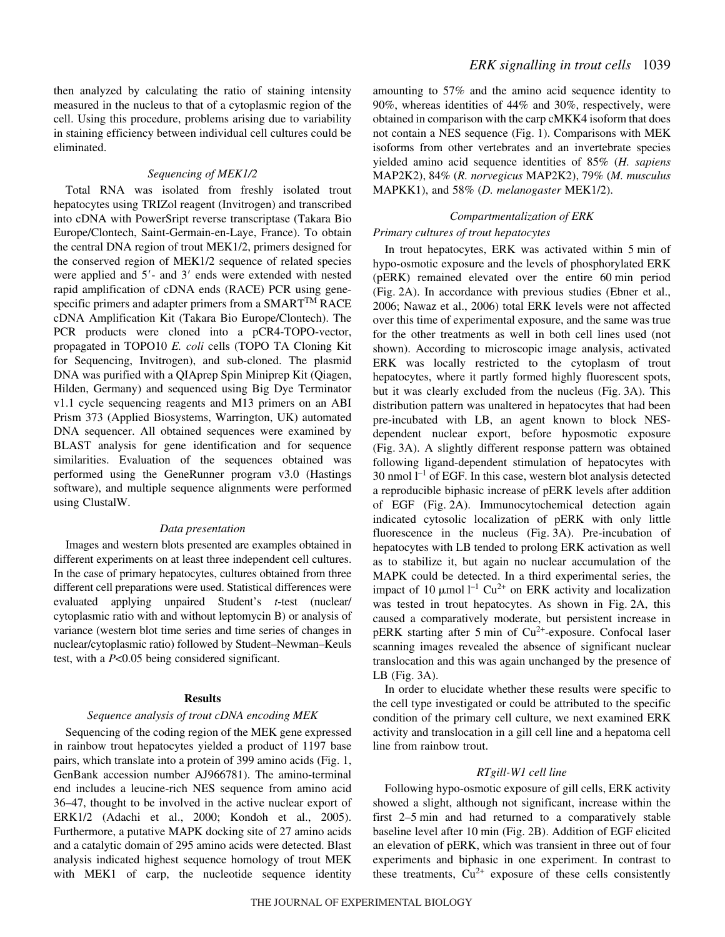then analyzed by calculating the ratio of staining intensity measured in the nucleus to that of a cytoplasmic region of the cell. Using this procedure, problems arising due to variability in staining efficiency between individual cell cultures could be eliminated.

## *Sequencing of MEK1/2*

Total RNA was isolated from freshly isolated trout hepatocytes using TRIZol reagent (Invitrogen) and transcribed into cDNA with PowerSript reverse transcriptase (Takara Bio Europe/Clontech, Saint-Germain-en-Laye, France). To obtain the central DNA region of trout MEK1/2, primers designed for the conserved region of MEK1/2 sequence of related species were applied and  $5'$ - and  $3'$  ends were extended with nested rapid amplification of cDNA ends (RACE) PCR using genespecific primers and adapter primers from a SMART<sup>TM</sup> RACE cDNA Amplification Kit (Takara Bio Europe/Clontech). The PCR products were cloned into a pCR4-TOPO-vector, propagated in TOPO10 *E. coli* cells (TOPO TA Cloning Kit for Sequencing, Invitrogen), and sub-cloned. The plasmid DNA was purified with a QIAprep Spin Miniprep Kit (Qiagen, Hilden, Germany) and sequenced using Big Dye Terminator v1.1 cycle sequencing reagents and M13 primers on an ABI Prism 373 (Applied Biosystems, Warrington, UK) automated DNA sequencer. All obtained sequences were examined by BLAST analysis for gene identification and for sequence similarities. Evaluation of the sequences obtained was performed using the GeneRunner program v3.0 (Hastings software), and multiple sequence alignments were performed using ClustalW.

## *Data presentation*

Images and western blots presented are examples obtained in different experiments on at least three independent cell cultures. In the case of primary hepatocytes, cultures obtained from three different cell preparations were used. Statistical differences were evaluated applying unpaired Student's *t*-test (nuclear/ cytoplasmic ratio with and without leptomycin B) or analysis of variance (western blot time series and time series of changes in nuclear/cytoplasmic ratio) followed by Student-Newman-Keuls test, with a *P*<0.05 being considered significant.

#### **Results**

## *Sequence analysis of trout cDNA encoding MEK*

Sequencing of the coding region of the MEK gene expressed in rainbow trout hepatocytes yielded a product of 1197 base pairs, which translate into a protein of 399 amino acids (Fig. 1, GenBank accession number AJ966781). The amino-terminal end includes a leucine-rich NES sequence from amino acid 36–47, thought to be involved in the active nuclear export of ERK1/2 (Adachi et al., 2000; Kondoh et al., 2005). Furthermore, a putative MAPK docking site of 27 amino acids and a catalytic domain of 295 amino acids were detected. Blast analysis indicated highest sequence homology of trout MEK with MEK1 of carp, the nucleotide sequence identity amounting to 57% and the amino acid sequence identity to 90%, whereas identities of 44% and 30%, respectively, were obtained in comparison with the carp cMKK4 isoform that does not contain a NES sequence (Fig. 1). Comparisons with MEK isoforms from other vertebrates and an invertebrate species yielded amino acid sequence identities of 85% (*H. sapiens* MAP2K2), 84% (*R. norvegicus* MAP2K2), 79% (*M. musculus* MAPKK1), and 58% (*D. melanogaster* MEK1/2).

## *Compartmentalization of ERK*

## *Primary cultures of trout hepatocytes*

In trout hepatocytes, ERK was activated within 5 min of hypo-osmotic exposure and the levels of phosphorylated ERK  $(pERK)$  remained elevated over the entire 60 min period (Fig. 2A). In accordance with previous studies (Ebner et al., 2006; Nawaz et al., 2006) total ERK levels were not affected over this time of experimental exposure, and the same was true for the other treatments as well in both cell lines used (not shown). According to microscopic image analysis, activated ERK was locally restricted to the cytoplasm of trout hepatocytes, where it partly formed highly fluorescent spots, but it was clearly excluded from the nucleus (Fig. 3A). This distribution pattern was unaltered in hepatocytes that had been pre-incubated with LB, an agent known to block NESdependent nuclear export, before hyposmotic exposure (Fig. 3A). A slightly different response pattern was obtained following ligand-dependent stimulation of hepatocytes with 30 nmol  $l^{-1}$  of EGF. In this case, western blot analysis detected a reproducible biphasic increase of pERK levels after addition of EGF (Fig. 2A). Immunocytochemical detection again indicated cytosolic localization of pERK with only little fluorescence in the nucleus (Fig. 3A). Pre-incubation of hepatocytes with LB tended to prolong ERK activation as well as to stabilize it, but again no nuclear accumulation of the MAPK could be detected. In a third experimental series, the impact of 10  $\mu$ mol l<sup>-1</sup> Cu<sup>2+</sup> on ERK activity and localization was tested in trout hepatocytes. As shown in Fig. 2A, this caused a comparatively moderate, but persistent increase in pERK starting after 5 min of  $Cu^{2+}$ -exposure. Confocal laser scanning images revealed the absence of significant nuclear translocation and this was again unchanged by the presence of  $LB$  (Fig. 3A).

In order to elucidate whether these results were specific to the cell type investigated or could be attributed to the specific condition of the primary cell culture, we next examined ERK activity and translocation in a gill cell line and a hepatoma cell line from rainbow trout.

#### *RTgill-W1 cell line*

Following hypo-osmotic exposure of gill cells, ERK activity showed a slight, although not significant, increase within the first  $2-5$  min and had returned to a comparatively stable baseline level after 10 min (Fig. 2B). Addition of EGF elicited an elevation of pERK, which was transient in three out of four experiments and biphasic in one experiment. In contrast to these treatments,  $Cu^{2+}$  exposure of these cells consistently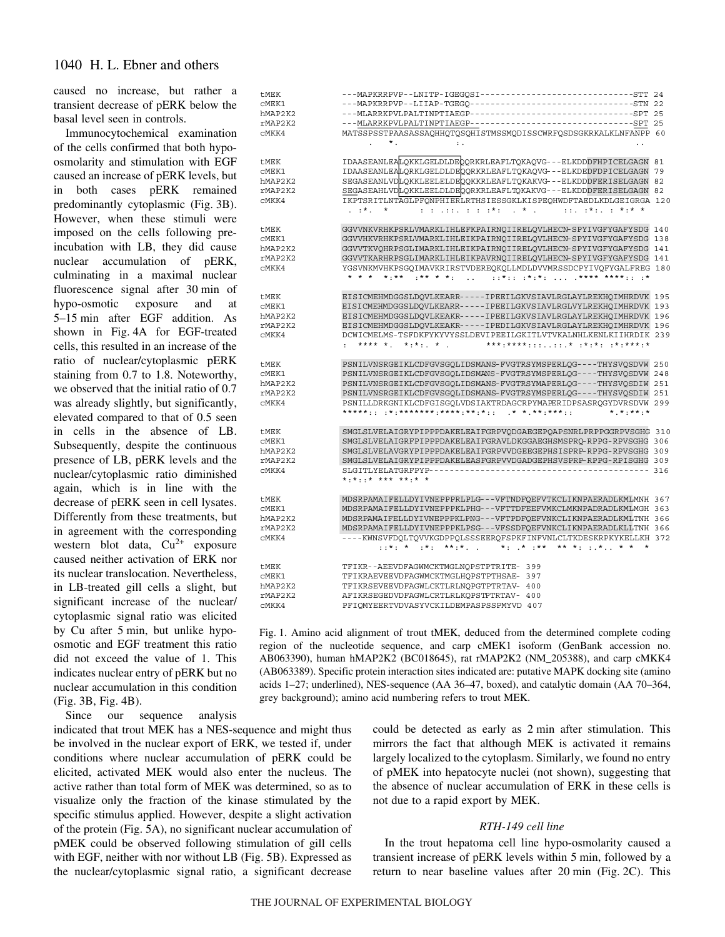caused no increase, but rather a transient decrease of pERK below the basal level seen in controls.

Immunocytochemical examination of the cells confirmed that both hypoosmolarity and stimulation with EGF caused an increase of pERK levels, but in both cases pERK remained predominantly cytoplasmic (Fig. 3B). However, when these stimuli were imposed on the cells following preincubation with LB, they did cause nuclear accumulation of pERK, culminating in a maximal nuclear fluorescence signal after 30 min of hypo-osmotic exposure and at 5–15 min after EGF addition. As shown in Fig. 4A for EGF-treated cells, this resulted in an increase of the ratio of nuclear/cytoplasmic pERK staining from 0.7 to 1.8. Noteworthy, we observed that the initial ratio of 0.7 was already slightly, but significantly, elevated compared to that of 0.5 seen in cells in the absence of LB. Subsequently, despite the continuous presence of LB, pERK levels and the nuclear/cytoplasmic ratio diminished again, which is in line with the decrease of pERK seen in cell lysates. Differently from these treatments, but in agreement with the corresponding western blot data,  $Cu^{2+}$  exposure caused neither activation of ERK nor its nuclear translocation. Nevertheless, in LB-treated gill cells a slight, but significant increase of the nuclear/ cytoplasmic signal ratio was elicited by Cu after 5 min, but unlike hypoosmotic and EGF treatment this ratio did not exceed the value of 1. This indicates nuclear entry of pERK but no nuclear accumulation in this condition (Fig. 3B, Fig. 4B).

Since our sequence analysis

indicated that trout MEK has a NES-sequence and might thus be involved in the nuclear export of ERK, we tested if, under conditions where nuclear accumulation of pERK could be elicited, activated MEK would also enter the nucleus. The active rather than total form of MEK was determined, so as to visualize only the fraction of the kinase stimulated by the specific stimulus applied. However, despite a slight activation of the protein (Fig. 5A), no significant nuclear accumulation of pMEK could be observed following stimulation of gill cells with EGF, neither with nor without LB (Fig. 5B). Expressed as the nuclear/cytoplasmic signal ratio, a significant decrease

| tMEK    | ---MAPKRRPVP--LNITP-IGEGOSI---------------------------------STT 24                                                                                                             |  |
|---------|--------------------------------------------------------------------------------------------------------------------------------------------------------------------------------|--|
| CMEK1   | ---MAPKRRPVP--LIIAP-TGEGQ---------------------------------STN 22                                                                                                               |  |
| hMAP2K2 |                                                                                                                                                                                |  |
| rMAP2K2 |                                                                                                                                                                                |  |
| CMKK4   | MATSSPSSTPAASASSAQHHQTQSQHISTMSSMQDISSCWRFQSDSGKRKALKLNFANPP 60                                                                                                                |  |
|         | * .<br>$\mathbf{r}$ .                                                                                                                                                          |  |
|         |                                                                                                                                                                                |  |
|         |                                                                                                                                                                                |  |
| tMEK    | IDAASEANLEALQKKLGELDLDEQQRKRLEAFLTQKAQVG---ELKDDDFHPICELGAGN 81                                                                                                                |  |
| CMEK1   | IDAASEANLEALQRKLGELDLDEQQRKRLEAFLTQKAQVG---ELKDEDFDPICELGAGN 79                                                                                                                |  |
| hMAP2K2 | SEGASEANLVDLQKKLEELELDEQQKKRLEAFLTQKAKVG---ELKDDDFERISELGAGN 82                                                                                                                |  |
| rMAP2K2 | SEGASEAHLVDLQKKLEELDLDEQQRKRLEAFLTQKAKVG---ELKDDDFERISELGAGN 82                                                                                                                |  |
| CMKK4   | IKPTSRITLNTAGLPFONPHIERLRTHSIESSGKLKISPEOHWDFTAEDLKDLGEIGRGA 120                                                                                                               |  |
|         | $\pm$ ( $\pm$ ) $\pm$ ( $\pm$ ) $\pm$ $\pm$ ( $\pm$ ) $\pm$ ( $\pm$ ) $\pm$ ( $\pm$ ) $\pm$ ( $\pm$ ) $\pm$ ( $\pm$ ) $\pm$ ( $\pm$ ) $\pm$<br>$\cdot$ $\cdot$ $\cdot$ $\cdot$ |  |
|         |                                                                                                                                                                                |  |
| tMEK    | GGVVNKVRHKPSRLVMARKLIHLEFKPAIRNOIIRELOVLHECN-SPYIVGFYGAFYSDG 140                                                                                                               |  |
| CMEK1   | GGVVHKVRHKPSRLVMARKLIHLEIKPAIRNOIIRELOVLHECN-SPYIVGFYGAFYSDG 138                                                                                                               |  |
| hMAP2K2 | GGVVTKVOHRPSGLIMARKLIHLEIKPAIRNOIIRELOVLHECN-SPYIVGFYGAFYSDG 141                                                                                                               |  |
| rMAP2K2 | GGVVTKARHRPSGLIMARKLIHLEIKPAVRNQIIRELQVLHECN-SPYIVGFYGAFYSDG 141                                                                                                               |  |
|         |                                                                                                                                                                                |  |
| CMKK4   | YGSVNKMVHKPSGOIMAVKRIRSTVDEREOKOLLMDLDVVMRSSDCPYIVOFYGALFREG 180                                                                                                               |  |
|         | * * * * *:** :** * *:  ::*:: :*:*:  .**** ****:: :*                                                                                                                            |  |
|         |                                                                                                                                                                                |  |
| tMEK    | EISICMEHMDGGSLDOVLKEARR-----IPEEILGKVSIAVLRGLAYLREKHOIMHRDVK 195                                                                                                               |  |
| CMEK1   | EISICMEHMDGGSLDOVLKEARR-----IPEEILGKVSIAVLRGLVYLREKHOIMHRDVK 193                                                                                                               |  |
| hMAP2K2 | EISICMEHMDGGSLDQVLKEAKR-----IPEEILGKVSIAVLRGLAYLREKHQIMHRDVK 196                                                                                                               |  |
| rMAP2K2 | EISICMEHMDGGSLDQVLKEAKR-----IPEDILGKVSIAVLRGLAYLREKHQIMHRDVK 196                                                                                                               |  |
| CMKK4   | DCWICMELMS-TSFDKFYKYVYSSLDEVIPEEILGKITLVTVKALNHLKENLKIIHRDIK 239                                                                                                               |  |
|         |                                                                                                                                                                                |  |
|         |                                                                                                                                                                                |  |
| tMEK    | PSNILVNSRGEIKLCDFGVSGQLIDSMANS-FVGTRSYMSPERLQG----THYSVQSDVW 250                                                                                                               |  |
| CMEK1   | PSNILVNSRGEIKLCDFGVSGOLIDSMANS-FVGTRSYMSPERLOG----THYSVOSDVW 248                                                                                                               |  |
| hMAP2K2 | PSNILVNSRGEIKLCDFGVSGQLIDSMANS-FVGTRSYMAPERLQG----THYSVQSDIW 251                                                                                                               |  |
|         | PSNILVNSRGEIKLCDFGVSGQLIDSMANS-FVGTRSYMSPERLQG----THYSVQSDIW 251                                                                                                               |  |
| rMAP2K2 |                                                                                                                                                                                |  |
| CMKK4   | PSNILLDRKGNIKLCDFGISGOLVDSIAKTRDAGCRPYMAPERIDPSASROGYDVRSDVW 299                                                                                                               |  |
|         | $*$ $*$ $*$ $*$ $*$                                                                                                                                                            |  |
|         |                                                                                                                                                                                |  |
| tMEK    | SMGLSLVELAIGRYPIPPPDAKELEAIFGRPVQDGAEGEPQAPSNRLPRPPGGRPVSGHG 310                                                                                                               |  |
| CMEK1   | SMGLSLVELAIGRFPIPPPDAKELEAIFGRAVLDKGGAEGHSMSPRO-RPPG-RPVSGHG 306                                                                                                               |  |
| hMAP2K2 | SMGLSLVELAVGRYPIPPPDAKELEAIFGRPVVDGEEGEPHSISPRP-RPPG-RPVSGHG 309                                                                                                               |  |
| rMAP2K2 | SMGLSLVELAIGRYPIPPPDAKELEASFGRPVVDGADGEPHSVSPRP-RPPG-RPISGHG 309                                                                                                               |  |
| CMKK4   |                                                                                                                                                                                |  |
|         | * * * * * * * * * * * *                                                                                                                                                        |  |
|         |                                                                                                                                                                                |  |
| tMEK    | MDSRPAMAIFELLDYIVNEPPPRLPLG---VFTNDFQEFVTKCLIKNPAERADLKMLMNH 367                                                                                                               |  |
| CMEK1   | MDSRPAMAIFELLDYIVNEPPPKLPHG---VFTTDFEEFVMKCLMKNPADRADLKMLMGH 363                                                                                                               |  |
| hMAP2K2 | MDSRPAMAIFELLDYIVNEPPPKLPNG---VFTPDFOEFVNKCLIKNPAERADLKMLTNH 366                                                                                                               |  |
| rMAP2K2 | MDSRPAMAIFELLDYIVNEPPPKLPSG---VFSSDFOEFVNKCLIKNPAERADLKLLTNH 366                                                                                                               |  |
| CMKK4   | ----KWNSVFDOLTOVVKGDPPOLSSSEEROFSPKFINFVNLCLTKDESKRPKYKELLKH 372                                                                                                               |  |
|         | *. * .*. **.*. . ** .** ** ** . * *                                                                                                                                            |  |
|         |                                                                                                                                                                                |  |
|         |                                                                                                                                                                                |  |
| tMEK    | TFIKR--AEEVDFAGWMCKTMGLNOPSTPTRITE- 399                                                                                                                                        |  |
| CMEK1   | TFIKRAEVEEVDFAGWMCKTMGLHOPSTPTHSAE- 397                                                                                                                                        |  |
| hMAP2K2 | TFIKRSEVEEVDFAGWLCKTLRLNOPGTPTRTAV- 400                                                                                                                                        |  |
| rMAP2K2 | AFIKRSEGEDVDFAGWLCRTLRLKQPSTPTRTAV- 400                                                                                                                                        |  |
| CMKK4   | PFIQMYEERTVDVASYVCKILDEMPASPSSPMYVD 407                                                                                                                                        |  |
|         |                                                                                                                                                                                |  |

Fig. 1. Amino acid alignment of trout tMEK, deduced from the determined complete coding region of the nucleotide sequence, and carp cMEK1 isoform (GenBank accession no. AB063390), human hMAP2K2 (BC018645), rat rMAP2K2 (NM\_205388), and carp cMKK4 (AB063389). Specific protein interaction sites indicated are: putative MAPK docking site (amino acids 1–27; underlined), NES-sequence (AA 36–47, boxed), and catalytic domain (AA 70–364, grey background); amino acid numbering refers to trout MEK.

> could be detected as early as 2 min after stimulation. This mirrors the fact that although MEK is activated it remains largely localized to the cytoplasm. Similarly, we found no entry of pMEK into hepatocyte nuclei (not shown), suggesting that the absence of nuclear accumulation of ERK in these cells is not due to a rapid export by MEK.

## *RTH-149 cell line*

In the trout hepatoma cell line hypo-osmolarity caused a transient increase of pERK levels within 5 min, followed by a return to near baseline values after  $20 \text{ min}$  (Fig.  $2C$ ). This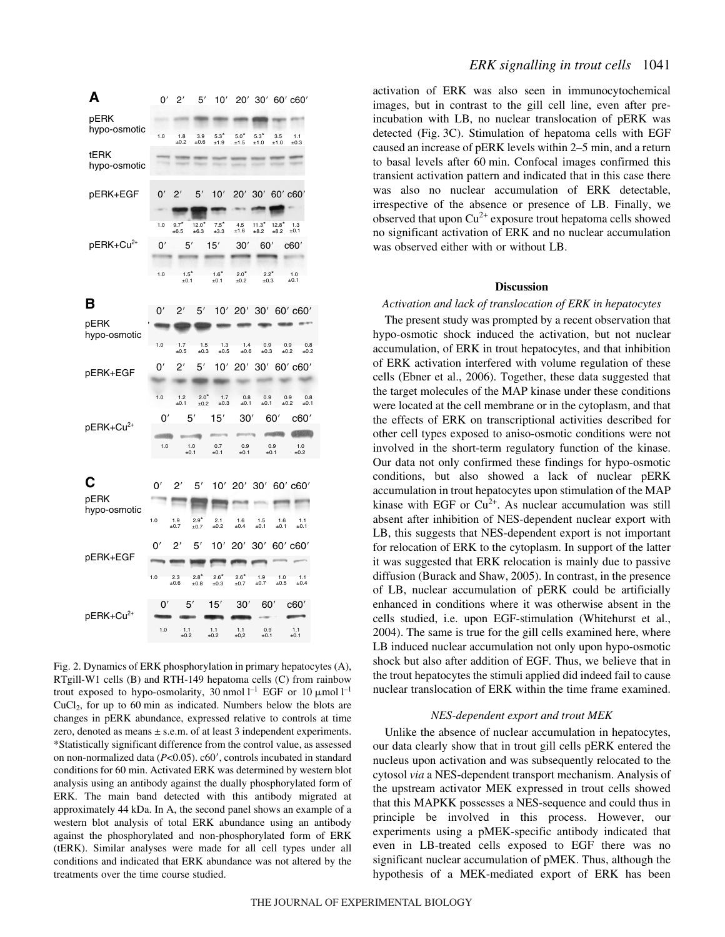| A                         | 0'               | $2^{\prime}$                           | 5′                                  | 10'                                     |                                      |                                          | 20' 30' 60' c60'                  |                                    |
|---------------------------|------------------|----------------------------------------|-------------------------------------|-----------------------------------------|--------------------------------------|------------------------------------------|-----------------------------------|------------------------------------|
| pERK<br>hypo-osmotic      | 1.0              | 1.8<br>$+0.2$                          | 3.9<br>$+0.6$                       | $5.3*$<br>±1.9                          | $5.0*$<br>±1.5                       | $5.3*$<br>±1.0                           | 3.5<br>$+1.0$                     | 1.1<br>±0.3                        |
| tERK<br>hypo-osmotic      |                  |                                        |                                     |                                         |                                      |                                          |                                   |                                    |
| pERK+EGF                  | 0'               | יפ                                     | 5'                                  | 10'                                     | 20'                                  | 30'                                      | $60'$ $c60'$                      |                                    |
| pERK+Cu <sup>2+</sup>     | 1.0<br>0'<br>1.0 | $9.7*$<br>±6.5<br>5'<br>$1.5*$<br>±0.1 | $12.0*$<br>±6.3                     | $7.5*$<br>±3.3<br>15'<br>$1.6*$<br>±0.1 | 4.5<br>±1.6<br>30'<br>$2.0*$<br>±0.2 | $11.3*$<br>±8.2<br>60'<br>$2.2*$<br>±0.3 | $12.8*$<br>±8.2                   | 1.3<br>±0.1<br>c60'<br>1.0<br>±0.1 |
| в<br>pERK                 | 0′               | 2'                                     | 5'                                  | 10'                                     |                                      |                                          |                                   | 20' 30' 60' c60'                   |
| hypo-osmotic              | 1.0<br>0′        | 17<br>±0.5<br>2′                       | 1.5<br>±0.3<br>5′                   | 1.3<br>±0.5<br>10'                      | 1.4<br>±0.6<br>20'                   | 0.9<br>±0.3                              | 0.9<br>±0.2                       | 0.8<br>±0.2<br>30' 60' c60'        |
| pERK+EGF                  |                  |                                        |                                     |                                         |                                      |                                          |                                   |                                    |
| pERK+Cu <sup>2+</sup>     | 1.0<br>0'<br>1.0 | 1.2<br>±0.1                            | $2.0*$<br>±0.2<br>5′<br>1.0<br>±0.1 | 1.7<br>±0.3<br>15'<br>$0.7 \\pm 0.1$    | 0.8<br>±0.1<br>30'<br>0.9<br>±0.1    | 0.9<br>±0.1                              | 0.9<br>±0.2<br>60'<br>0.9<br>±0.1 | 0.8<br>±0.1<br>c60'<br>1.0<br>±0.2 |
| С<br>pERK<br>hypo-osmotic | 0′<br>1.0        | 2'<br>1.9<br>±0.7                      | 5'<br>$2.9*$<br>±0.7                | 2.1<br>±0.2                             | 10' 20' 30' 60' c60'<br>1.6<br>±0.4  | 1.5<br>±0.1                              | 1.6<br>±0.1                       | 1.1<br>±0.1                        |
| pERK+EGF                  | 0'<br>1.0        | 2'<br>2.3<br>±0.6                      | 5'<br>$2.8^*$<br>±0.8               | 10'<br>$2.6*$<br>±0.3                   | 20'<br>$2.6*$<br>±0.7                | 30'<br>1.9<br>$\pm 0.7$                  | 1.0<br>±0.5                       | $60'$ $c60'$<br>1.1<br>±0.4        |
| pERK+Cu <sup>2+</sup>     | 0'<br>1.0        | 1.1<br>±0.2                            | 5′                                  | 15'<br>1.1<br>±0.2                      | 30'<br>1.1<br>±0,2                   | 60'<br>0.9<br>±0.1                       |                                   | c60'<br>1.1<br>±0.1                |

Fig. 2. Dynamics of ERK phosphorylation in primary hepatocytes (A), RTgill-W1 cells (B) and RTH-149 hepatoma cells (C) from rainbow trout exposed to hypo-osmolarity, 30 nmol  $l^{-1}$  EGF or 10  $\mu$ mol  $l^{-1}$  $CuCl<sub>2</sub>$ , for up to 60 min as indicated. Numbers below the blots are changes in pERK abundance, expressed relative to controls at time zero, denoted as means  $\pm$  s.e.m. of at least 3 independent experiments. \*Statistically significant difference from the control value, as assessed on non-normalized data ( $P<0.05$ ). c60', controls incubated in standard conditions for 60 min. Activated ERK was determined by western blot analysis using an antibody against the dually phosphorylated form of ERK. The main band detected with this antibody migrated at approximately 44·kDa. In A, the second panel shows an example of a western blot analysis of total ERK abundance using an antibody against the phosphorylated and non-phosphorylated form of ERK (tERK). Similar analyses were made for all cell types under all conditions and indicated that ERK abundance was not altered by the treatments over the time course studied.

activation of ERK was also seen in immunocytochemical images, but in contrast to the gill cell line, even after preincubation with LB, no nuclear translocation of pERK was detected (Fig. 3C). Stimulation of hepatoma cells with EGF caused an increase of pERK levels within 2–5 min, and a return to basal levels after 60 min. Confocal images confirmed this transient activation pattern and indicated that in this case there was also no nuclear accumulation of ERK detectable, irrespective of the absence or presence of LB. Finally, we observed that upon  $Cu^{2+}$  exposure trout hepatoma cells showed no significant activation of ERK and no nuclear accumulation was observed either with or without LB.

#### **Discussion**

#### *Activation and lack of translocation of ERK in hepatocytes*

The present study was prompted by a recent observation that hypo-osmotic shock induced the activation, but not nuclear accumulation, of ERK in trout hepatocytes, and that inhibition of ERK activation interfered with volume regulation of these cells (Ebner et al., 2006). Together, these data suggested that the target molecules of the MAP kinase under these conditions were located at the cell membrane or in the cytoplasm, and that the effects of ERK on transcriptional activities described for other cell types exposed to aniso-osmotic conditions were not involved in the short-term regulatory function of the kinase. Our data not only confirmed these findings for hypo-osmotic conditions, but also showed a lack of nuclear pERK accumulation in trout hepatocytes upon stimulation of the MAP kinase with EGF or  $Cu^{2+}$ . As nuclear accumulation was still absent after inhibition of NES-dependent nuclear export with LB, this suggests that NES-dependent export is not important for relocation of ERK to the cytoplasm. In support of the latter it was suggested that ERK relocation is mainly due to passive diffusion (Burack and Shaw, 2005). In contrast, in the presence of LB, nuclear accumulation of pERK could be artificially enhanced in conditions where it was otherwise absent in the cells studied, i.e. upon EGF-stimulation (Whitehurst et al., 2004). The same is true for the gill cells examined here, where LB induced nuclear accumulation not only upon hypo-osmotic shock but also after addition of EGF. Thus, we believe that in the trout hepatocytes the stimuli applied did indeed fail to cause nuclear translocation of ERK within the time frame examined.

#### *NES-dependent export and trout MEK*

Unlike the absence of nuclear accumulation in hepatocytes, our data clearly show that in trout gill cells pERK entered the nucleus upon activation and was subsequently relocated to the cytosol *via* a NES-dependent transport mechanism. Analysis of the upstream activator MEK expressed in trout cells showed that this MAPKK possesses a NES-sequence and could thus in principle be involved in this process. However, our experiments using a pMEK-specific antibody indicated that even in LB-treated cells exposed to EGF there was no significant nuclear accumulation of pMEK. Thus, although the hypothesis of a MEK-mediated export of ERK has been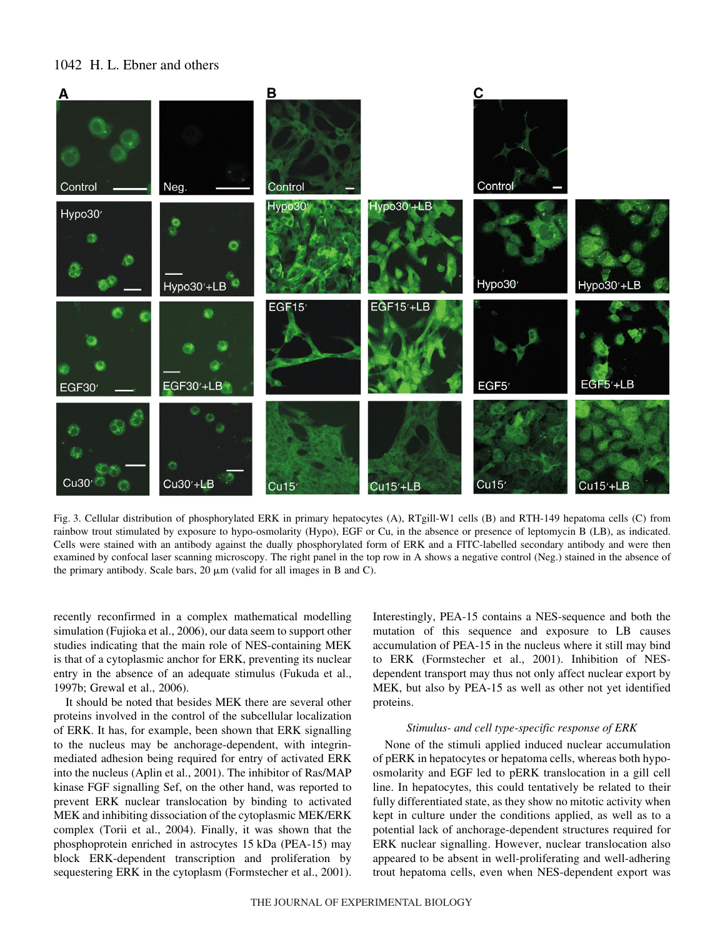# 1042 H. L. Ebner and others



Fig. 3. Cellular distribution of phosphorylated ERK in primary hepatocytes (A), RTgill-W1 cells (B) and RTH-149 hepatoma cells (C) from rainbow trout stimulated by exposure to hypo-osmolarity (Hypo), EGF or Cu, in the absence or presence of leptomycin B (LB), as indicated. Cells were stained with an antibody against the dually phosphorylated form of ERK and a FITC-labelled secondary antibody and were then examined by confocal laser scanning microscopy. The right panel in the top row in A shows a negative control (Neg.) stained in the absence of the primary antibody. Scale bars,  $20 \mu m$  (valid for all images in B and C).

recently reconfirmed in a complex mathematical modelling simulation (Fujioka et al., 2006), our data seem to support other studies indicating that the main role of NES-containing MEK is that of a cytoplasmic anchor for ERK, preventing its nuclear entry in the absence of an adequate stimulus (Fukuda et al., 1997b; Grewal et al., 2006).

It should be noted that besides MEK there are several other proteins involved in the control of the subcellular localization of ERK. It has, for example, been shown that ERK signalling to the nucleus may be anchorage-dependent, with integrinmediated adhesion being required for entry of activated ERK into the nucleus (Aplin et al., 2001). The inhibitor of Ras/MAP kinase FGF signalling Sef, on the other hand, was reported to prevent ERK nuclear translocation by binding to activated MEK and inhibiting dissociation of the cytoplasmic MEK/ERK complex (Torii et al., 2004). Finally, it was shown that the phosphoprotein enriched in astrocytes 15 kDa (PEA-15) may block ERK-dependent transcription and proliferation by sequestering ERK in the cytoplasm (Formstecher et al., 2001). Interestingly, PEA-15 contains a NES-sequence and both the mutation of this sequence and exposure to LB causes accumulation of PEA-15 in the nucleus where it still may bind to ERK (Formstecher et al., 2001). Inhibition of NESdependent transport may thus not only affect nuclear export by MEK, but also by PEA-15 as well as other not yet identified proteins.

## *Stimulus- and cell type-specific response of ERK*

None of the stimuli applied induced nuclear accumulation of pERK in hepatocytes or hepatoma cells, whereas both hypoosmolarity and EGF led to pERK translocation in a gill cell line. In hepatocytes, this could tentatively be related to their fully differentiated state, as they show no mitotic activity when kept in culture under the conditions applied, as well as to a potential lack of anchorage-dependent structures required for ERK nuclear signalling. However, nuclear translocation also appeared to be absent in well-proliferating and well-adhering trout hepatoma cells, even when NES-dependent export was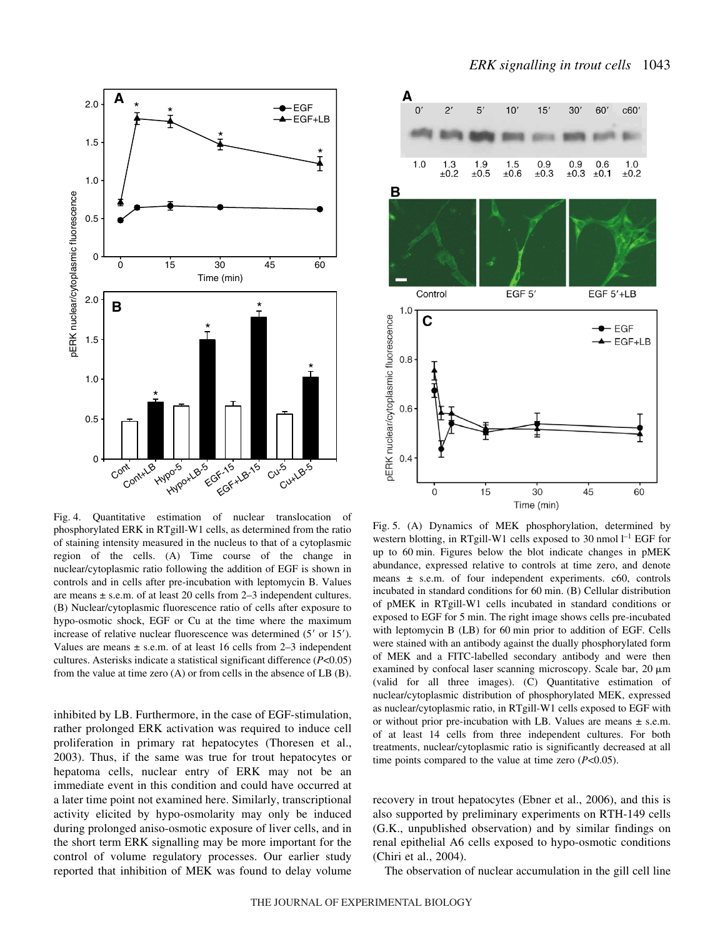



Fig. 4. Quantitative estimation of nuclear translocation of phosphorylated ERK in RTgill-W1 cells, as determined from the ratio of staining intensity measured in the nucleus to that of a cytoplasmic region of the cells. (A) Time course of the change in nuclear/cytoplasmic ratio following the addition of EGF is shown in controls and in cells after pre-incubation with leptomycin B. Values are means  $\pm$  s.e.m. of at least 20 cells from 2–3 independent cultures. (B) Nuclear/cytoplasmic fluorescence ratio of cells after exposure to hypo-osmotic shock, EGF or Cu at the time where the maximum increase of relative nuclear fluorescence was determined (5' or 15'). Values are means  $\pm$  s.e.m. of at least 16 cells from 2–3 independent cultures. Asterisks indicate a statistical significant difference (*P*<0.05) from the value at time zero  $(A)$  or from cells in the absence of LB  $(B)$ .

inhibited by LB. Furthermore, in the case of EGF-stimulation, rather prolonged ERK activation was required to induce cell proliferation in primary rat hepatocytes (Thoresen et al., 2003). Thus, if the same was true for trout hepatocytes or hepatoma cells, nuclear entry of ERK may not be an immediate event in this condition and could have occurred at a later time point not examined here. Similarly, transcriptional activity elicited by hypo-osmolarity may only be induced during prolonged aniso-osmotic exposure of liver cells, and in the short term ERK signalling may be more important for the control of volume regulatory processes. Our earlier study reported that inhibition of MEK was found to delay volume



Fig. 5. (A) Dynamics of MEK phosphorylation, determined by western blotting, in RTgill-W1 cells exposed to 30 nmol  $l^{-1}$  EGF for up to 60 min. Figures below the blot indicate changes in pMEK abundance, expressed relative to controls at time zero, and denote means  $\pm$  s.e.m. of four independent experiments. c60, controls incubated in standard conditions for 60 min. (B) Cellular distribution of pMEK in RTgill-W1 cells incubated in standard conditions or exposed to EGF for 5 min. The right image shows cells pre-incubated with leptomycin B (LB) for 60 min prior to addition of EGF. Cells were stained with an antibody against the dually phosphorylated form of MEK and a FITC-labelled secondary antibody and were then examined by confocal laser scanning microscopy. Scale bar,  $20~\mu m$ (valid for all three images). (C) Quantitative estimation of nuclear/cytoplasmic distribution of phosphorylated MEK, expressed as nuclear/cytoplasmic ratio, in RTgill-W1 cells exposed to EGF with or without prior pre-incubation with LB. Values are means  $\pm$  s.e.m. of at least 14 cells from three independent cultures. For both treatments, nuclear/cytoplasmic ratio is significantly decreased at all time points compared to the value at time zero (*P*<0.05).

recovery in trout hepatocytes (Ebner et al., 2006), and this is also supported by preliminary experiments on RTH-149 cells (G.K., unpublished observation) and by similar findings on renal epithelial A6 cells exposed to hypo-osmotic conditions (Chiri et al., 2004).

The observation of nuclear accumulation in the gill cell line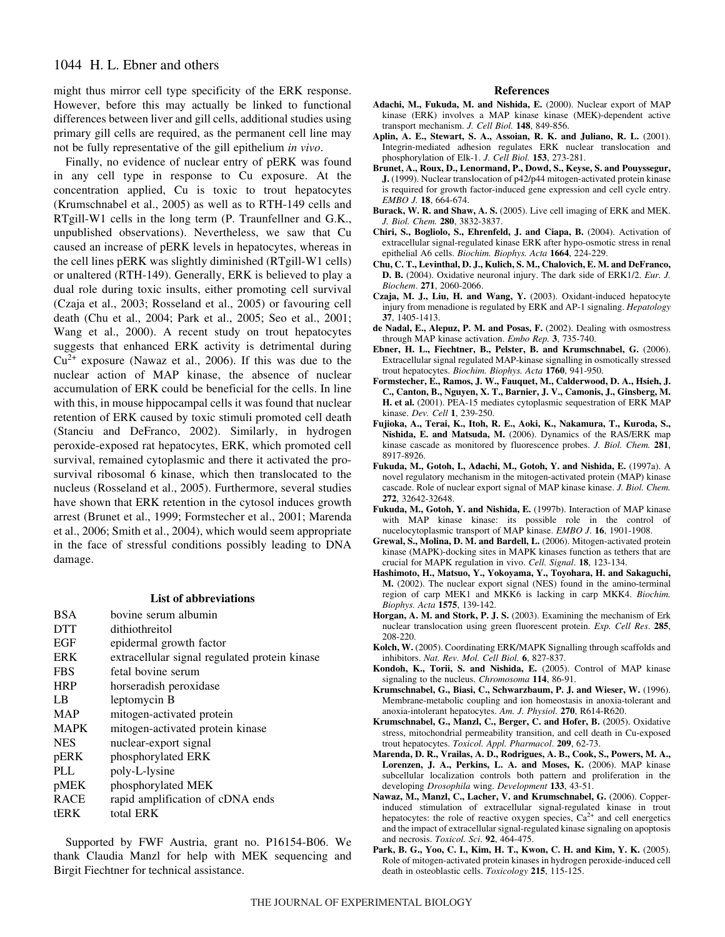# 1044 H. L. Ebner and others

might thus mirror cell type specificity of the ERK response. However, before this may actually be linked to functional differences between liver and gill cells, additional studies using primary gill cells are required, as the permanent cell line may not be fully representative of the gill epithelium *in vivo*.

Finally, no evidence of nuclear entry of pERK was found in any cell type in response to Cu exposure. At the concentration applied, Cu is toxic to trout hepatocytes (Krumschnabel et al., 2005) as well as to RTH-149 cells and RTgill-W1 cells in the long term (P. Traunfellner and G.K., unpublished observations). Nevertheless, we saw that Cu caused an increase of pERK levels in hepatocytes, whereas in the cell lines pERK was slightly diminished (RTgill-W1 cells) or unaltered (RTH-149). Generally, ERK is believed to play a dual role during toxic insults, either promoting cell survival (Czaja et al., 2003; Rosseland et al., 2005) or favouring cell death (Chu et al., 2004; Park et al., 2005; Seo et al., 2001; Wang et al., 2000). A recent study on trout hepatocytes suggests that enhanced ERK activity is detrimental during  $Cu^{2+}$  exposure (Nawaz et al., 2006). If this was due to the nuclear action of MAP kinase, the absence of nuclear accumulation of ERK could be beneficial for the cells. In line with this, in mouse hippocampal cells it was found that nuclear retention of ERK caused by toxic stimuli promoted cell death (Stanciu and DeFranco, 2002). Similarly, in hydrogen peroxide-exposed rat hepatocytes, ERK, which promoted cell survival, remained cytoplasmic and there it activated the prosurvival ribosomal 6 kinase, which then translocated to the nucleus (Rosseland et al., 2005). Furthermore, several studies have shown that ERK retention in the cytosol induces growth arrest (Brunet et al., 1999; Formstecher et al., 2001; Marenda et al., 2006; Smith et al., 2004), which would seem appropriate in the face of stressful conditions possibly leading to DNA damage.

#### **List of abbreviations**

| <b>BSA</b>  | hovine serum albumin                          |
|-------------|-----------------------------------------------|
| <b>DTT</b>  | dithiothreitol                                |
| <b>EGF</b>  | epidermal growth factor                       |
| <b>ERK</b>  | extracellular signal regulated protein kinase |
| <b>FBS</b>  | fetal bovine serum                            |
| <b>HRP</b>  | horseradish peroxidase                        |
| LB          | leptomycin B                                  |
| MAP         | mitogen-activated protein                     |
| <b>MAPK</b> | mitogen-activated protein kinase              |
| <b>NES</b>  | nuclear-export signal                         |
| pERK        | phosphorylated ERK                            |
| PLL         | poly-L-lysine                                 |
| pMEK        | phosphorylated MEK                            |
| <b>RACE</b> | rapid amplification of cDNA ends              |
| tERK        | total ERK                                     |
|             |                                               |

Supported by FWF Austria, grant no. P16154-B06. We thank Claudia Manzl for help with MEK sequencing and Birgit Fiechtner for technical assistance.

## **References**

- **Adachi, M., Fukuda, M. and Nishida, E.** (2000). Nuclear export of MAP kinase (ERK) involves a MAP kinase kinase (MEK)-dependent active transport mechanism. *J. Cell Biol.* **148**, 849-856.
- **Aplin, A. E., Stewart, S. A., Assoian, R. K. and Juliano, R. L.** (2001). Integrin-mediated adhesion regulates ERK nuclear translocation and phosphorylation of Elk-1. *J. Cell Biol.* **153**, 273-281.
- **Brunet, A., Roux, D., Lenormand, P., Dowd, S., Keyse, S. and Pouyssegur, J.** (1999). Nuclear translocation of p42/p44 mitogen-activated protein kinase is required for growth factor-induced gene expression and cell cycle entry. *EMBO J.* **18**, 664-674.
- **Burack, W. R. and Shaw, A. S.** (2005). Live cell imaging of ERK and MEK. *J. Biol. Chem.* **280**, 3832-3837.
- **Chiri, S., Bogliolo, S., Ehrenfeld, J. and Ciapa, B.** (2004). Activation of extracellular signal-regulated kinase ERK after hypo-osmotic stress in renal epithelial A6 cells. *Biochim. Biophys. Acta* **1664**, 224-229.
- **Chu, C. T., Levinthal, D. J., Kulich, S. M., Chalovich, E. M. and DeFranco, D. B.** (2004). Oxidative neuronal injury. The dark side of ERK1/2. *Eur. J. Biochem*. **271**, 2060-2066.
- **Czaja, M. J., Liu, H. and Wang, Y.** (2003). Oxidant-induced hepatocyte injury from menadione is regulated by ERK and AP-1 signaling. *Hepatology* **37**, 1405-1413.
- **de Nadal, E., Alepuz, P. M. and Posas, F.** (2002). Dealing with osmostress through MAP kinase activation. *Embo Rep.* **3**, 735-740.
- **Ebner, H. L., Fiechtner, B., Pelster, B. and Krumschnabel, G.** (2006). Extracellular signal regulated MAP-kinase signalling in osmotically stressed trout hepatocytes. *Biochim. Biophys. Acta* **1760**, 941-950.
- **Formstecher, E., Ramos, J. W., Fauquet, M., Calderwood, D. A., Hsieh, J. C., Canton, B., Nguyen, X. T., Barnier, J. V., Camonis, J., Ginsberg, M. H. et al.** (2001). PEA-15 mediates cytoplasmic sequestration of ERK MAP kinase. *Dev. Cell* **1**, 239-250.
- **Fujioka, A., Terai, K., Itoh, R. E., Aoki, K., Nakamura, T., Kuroda, S., Nishida, E. and Matsuda, M.** (2006). Dynamics of the RAS/ERK map kinase cascade as monitored by fluorescence probes. *J. Biol. Chem.* **281**, 8917-8926.
- **Fukuda, M., Gotoh, I., Adachi, M., Gotoh, Y. and Nishida, E.** (1997a). A novel regulatory mechanism in the mitogen-activated protein (MAP) kinase cascade. Role of nuclear export signal of MAP kinase kinase. *J. Biol. Chem.* **272**, 32642-32648.
- **Fukuda, M., Gotoh, Y. and Nishida, E.** (1997b). Interaction of MAP kinase with MAP kinase kinase: its possible role in the control of nucelocytoplasmic transport of MAP kinase. *EMBO J*. **16**, 1901-1908.
- **Grewal, S., Molina, D. M. and Bardell, L.** (2006). Mitogen-activated protein kinase (MAPK)-docking sites in MAPK kinases function as tethers that are crucial for MAPK regulation in vivo. *Cell. Signal*. **18**, 123-134.
- **Hashimoto, H., Matsuo, Y., Yokoyama, Y., Toyohara, H. and Sakaguchi, M.** (2002). The nuclear export signal (NES) found in the amino-terminal region of carp MEK1 and MKK6 is lacking in carp MKK4. *Biochim. Biophys. Acta* **1575**, 139-142.
- **Horgan, A. M. and Stork, P. J. S.** (2003). Examining the mechanism of Erk nuclear translocation using green fluorescent protein. *Exp. Cell Res*. **285**, 208-220.
- **Kolch, W.** (2005). Coordinating ERK/MAPK Signalling through scaffolds and inhibitors. *Nat. Rev. Mol. Cell Biol.* **6**, 827-837.
- **Kondoh, K., Torii, S. and Nishida, E.** (2005). Control of MAP kinase signaling to the nucleus. *Chromosoma* **114**, 86-91.
- **Krumschnabel, G., Biasi, C., Schwarzbaum, P. J. and Wieser, W.** (1996). Membrane-metabolic coupling and ion homeostasis in anoxia-tolerant and anoxia-intolerant hepatocytes. *Am. J. Physiol.* **270**, R614-R620.
- **Krumschnabel, G., Manzl, C., Berger, C. and Hofer, B.** (2005). Oxidative stress, mitochondrial permeability transition, and cell death in Cu-exposed trout hepatocytes. *Toxicol. Appl. Pharmacol*. **209**, 62-73.
- **Marenda, D. R., Vrailas, A. D., Rodrigues, A. B., Cook, S., Powers, M. A., Lorenzen, J. A., Perkins, L. A. and Moses, K.** (2006). MAP kinase subcellular localization controls both pattern and proliferation in the developing *Drosophila* wing. *Development* **133**, 43-51.
- **Nawaz, M., Manzl, C., Lacher, V. and Krumschnabel, G.** (2006). Copperinduced stimulation of extracellular signal-regulated kinase in trout hepatocytes: the role of reactive oxygen species,  $Ca^{2+}$  and cell energetics and the impact of extracellular signal-regulated kinase signaling on apoptosis and necrosis. *Toxicol. Sci*. **92**, 464-475.
- **Park, B. G., Yoo, C. I., Kim, H. T., Kwon, C. H. and Kim, Y. K.** (2005). Role of mitogen-activated protein kinases in hydrogen peroxide-induced cell death in osteoblastic cells. *Toxicology* **215**, 115-125.